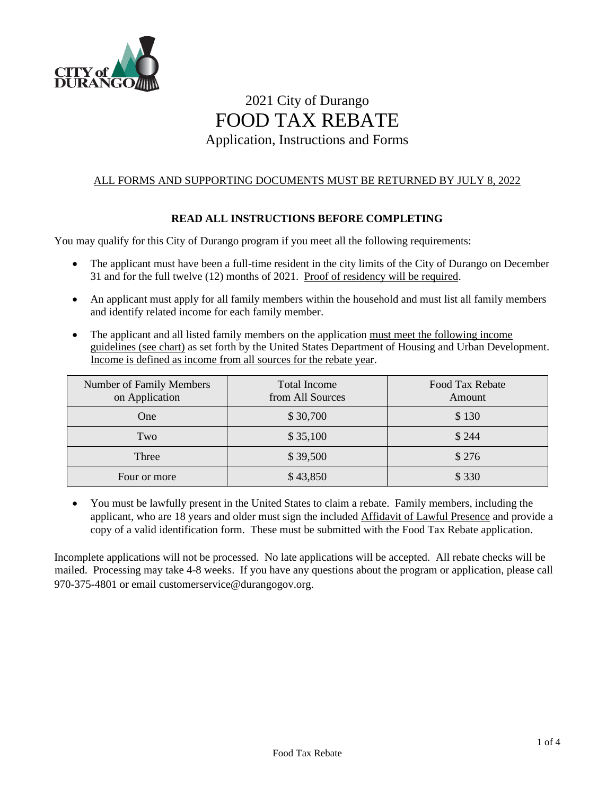

# 2021 City of Durango FOOD TAX REBATE Application, Instructions and Forms

## ALL FORMS AND SUPPORTING DOCUMENTS MUST BE RETURNED BY JULY 8, 2022

## **READ ALL INSTRUCTIONS BEFORE COMPLETING**

You may qualify for this City of Durango program if you meet all the following requirements:

- The applicant must have been a full-time resident in the city limits of the City of Durango on December 31 and for the full twelve (12) months of 2021. Proof of residency will be required.
- An applicant must apply for all family members within the household and must list all family members and identify related income for each family member.
- The applicant and all listed family members on the application must meet the following income guidelines (see chart) as set forth by the United States Department of Housing and Urban Development. Income is defined as income from all sources for the rebate year.

| Number of Family Members<br>on Application | <b>Total Income</b><br>from All Sources | Food Tax Rebate<br>Amount |
|--------------------------------------------|-----------------------------------------|---------------------------|
| One                                        | \$30,700                                | \$130                     |
| Two                                        | \$35,100                                | \$244                     |
| Three                                      | \$39,500                                | \$276                     |
| Four or more                               | \$43,850                                | \$330                     |

• You must be lawfully present in the United States to claim a rebate. Family members, including the applicant, who are 18 years and older must sign the included Affidavit of Lawful Presence and provide a copy of a valid identification form. These must be submitted with the Food Tax Rebate application.

Incomplete applications will not be processed. No late applications will be accepted. All rebate checks will be mailed. Processing may take 4-8 weeks. If you have any questions about the program or application, please call 970-375-4801 or email customerservice@durangogov.org.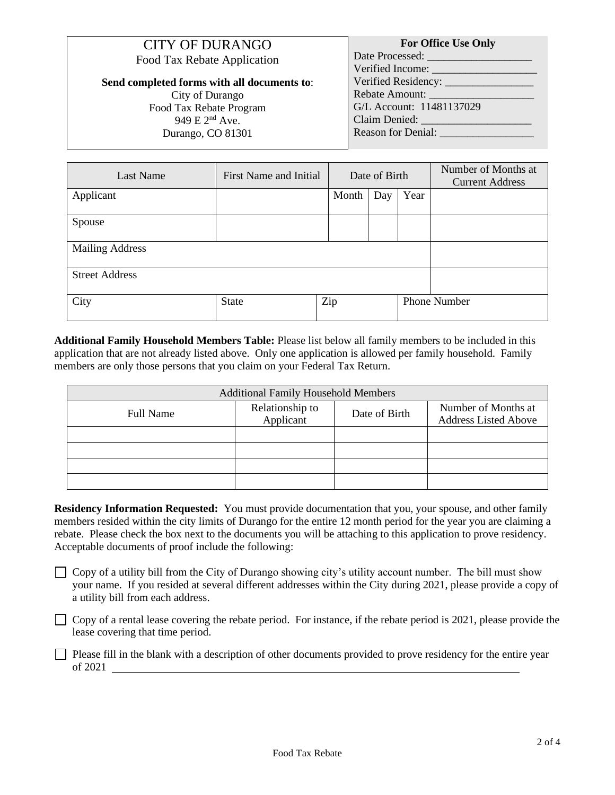| <b>CITY OF DURANGO</b>             |
|------------------------------------|
| <b>Food Tax Rebate Application</b> |

**Send completed forms with all documents to**: City of Durango Food Tax Rebate Program 949 E 2nd Ave.

Durango, CO 81301

#### **For Office Use Only** Date Processed: \_\_\_\_\_\_\_\_\_\_\_\_\_\_\_\_\_\_\_ Verified Income: Verified Residency: Rebate Amount: G/L Account: 11481137029 Claim Denied: Reason for Denial:

| Last Name              | First Name and Initial |       | Date of Birth |      | Number of Months at<br><b>Current Address</b> |
|------------------------|------------------------|-------|---------------|------|-----------------------------------------------|
| Applicant              |                        | Month | Day           | Year |                                               |
| Spouse                 |                        |       |               |      |                                               |
| <b>Mailing Address</b> |                        |       |               |      |                                               |
| <b>Street Address</b>  |                        |       |               |      |                                               |
| City                   | State                  | Zip   |               |      | <b>Phone Number</b>                           |

**Additional Family Household Members Table:** Please list below all family members to be included in this application that are not already listed above. Only one application is allowed per family household. Family members are only those persons that you claim on your Federal Tax Return.

| <b>Additional Family Household Members</b> |                              |               |                                                    |  |  |  |  |  |
|--------------------------------------------|------------------------------|---------------|----------------------------------------------------|--|--|--|--|--|
| <b>Full Name</b>                           | Relationship to<br>Applicant | Date of Birth | Number of Months at<br><b>Address Listed Above</b> |  |  |  |  |  |
|                                            |                              |               |                                                    |  |  |  |  |  |
|                                            |                              |               |                                                    |  |  |  |  |  |
|                                            |                              |               |                                                    |  |  |  |  |  |
|                                            |                              |               |                                                    |  |  |  |  |  |

**Residency Information Requested:** You must provide documentation that you, your spouse, and other family members resided within the city limits of Durango for the entire 12 month period for the year you are claiming a rebate. Please check the box next to the documents you will be attaching to this application to prove residency. Acceptable documents of proof include the following:

 $\Box$  Copy of a utility bill from the City of Durango showing city's utility account number. The bill must show your name. If you resided at several different addresses within the City during 2021, please provide a copy of a utility bill from each address.

 $\Box$  Copy of a rental lease covering the rebate period. For instance, if the rebate period is 2021, please provide the lease covering that time period.

Please fill in the blank with a description of other documents provided to prove residency for the entire year of 2021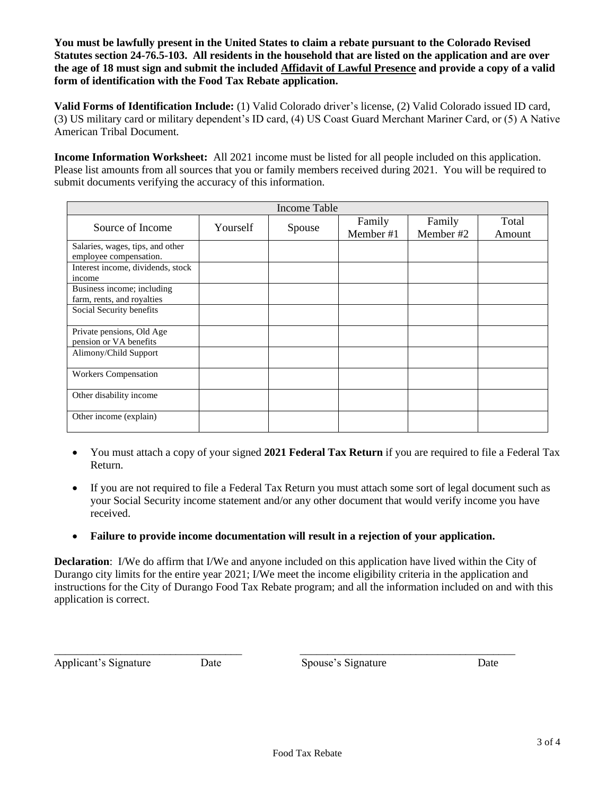**You must be lawfully present in the United States to claim a rebate pursuant to the Colorado Revised Statutes section 24-76.5-103. All residents in the household that are listed on the application and are over the age of 18 must sign and submit the included Affidavit of Lawful Presence and provide a copy of a valid form of identification with the Food Tax Rebate application.** 

**Valid Forms of Identification Include:** (1) Valid Colorado driver's license, (2) Valid Colorado issued ID card, (3) US military card or military dependent's ID card, (4) US Coast Guard Merchant Mariner Card, or (5) A Native American Tribal Document.

**Income Information Worksheet:** All 2021 income must be listed for all people included on this application. Please list amounts from all sources that you or family members received during 2021. You will be required to submit documents verifying the accuracy of this information.

|                                                            |          | Income Table |                     |                     |                 |
|------------------------------------------------------------|----------|--------------|---------------------|---------------------|-----------------|
| Source of Income                                           | Yourself | Spouse       | Family<br>Member #1 | Family<br>Member #2 | Total<br>Amount |
| Salaries, wages, tips, and other<br>employee compensation. |          |              |                     |                     |                 |
| Interest income, dividends, stock<br>income                |          |              |                     |                     |                 |
| Business income; including<br>farm, rents, and royalties   |          |              |                     |                     |                 |
| Social Security benefits                                   |          |              |                     |                     |                 |
| Private pensions, Old Age<br>pension or VA benefits        |          |              |                     |                     |                 |
| Alimony/Child Support                                      |          |              |                     |                     |                 |
| <b>Workers Compensation</b>                                |          |              |                     |                     |                 |
| Other disability income                                    |          |              |                     |                     |                 |
| Other income (explain)                                     |          |              |                     |                     |                 |

- You must attach a copy of your signed **2021 Federal Tax Return** if you are required to file a Federal Tax Return.
- If you are not required to file a Federal Tax Return you must attach some sort of legal document such as your Social Security income statement and/or any other document that would verify income you have received.
- **Failure to provide income documentation will result in a rejection of your application.**

**Declaration**: I/We do affirm that I/We and anyone included on this application have lived within the City of Durango city limits for the entire year 2021; I/We meet the income eligibility criteria in the application and instructions for the City of Durango Food Tax Rebate program; and all the information included on and with this application is correct.

Applicant's Signature Date Date Spouse's Signature Date

\_\_\_\_\_\_\_\_\_\_\_\_\_\_\_\_\_\_\_\_\_\_\_\_\_\_\_\_\_\_\_\_\_\_ \_\_\_\_\_\_\_\_\_\_\_\_\_\_\_\_\_\_\_\_\_\_\_\_\_\_\_\_\_\_\_\_\_\_\_\_\_\_\_